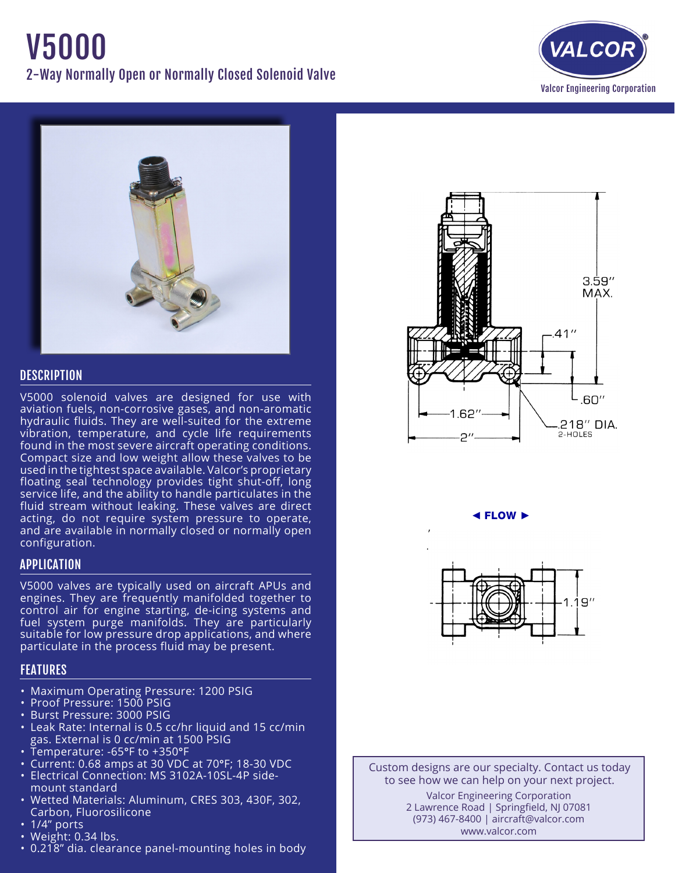# V5000 2-Way Normally Open or Normally Closed Solenoid Valve





# **DESCRIPTION**

V5000 solenoid valves are designed for use with aviation fuels, non-corrosive gases, and non-aromatic hydraulic fluids. They are well-suited for the extreme vibration, temperature, and cycle life requirements found in the most severe aircraft operating conditions. Compact size and low weight allow these valves to be used in the tightest space available. Valcor's proprietary floating seal technology provides tight shut-off, long service life, and the ability to handle particulates in the fluid stream without leaking. These valves are direct acting, do not require system pressure to operate, and are available in normally closed or normally open configuration.

# APPLICATION

V5000 valves are typically used on aircraft APUs and engines. They are frequently manifolded together to control air for engine starting, de-icing systems and fuel system purge manifolds. They are particularly suitable for low pressure drop applications, and where particulate in the process fluid may be present.

# FEATURES

- Maximum Operating Pressure: 1200 PSIG
- Proof Pressure: 1500 PSIG
- • Burst Pressure: 3000 PSIG
- Leak Rate: Internal is 0.5 cc/hr liquid and 15 cc/min gas. External is 0 cc/min at 1500 PSIG
- Temperature: -65°F to +350°F
- Current: 0.68 amps at 30 VDC at 70°F; 18-30 VDC
- Electrical Connection: MS 3102A-10SL-4P side- mount standard
- • Wetted Materials: Aluminum, CRES 303, 430F, 302, Carbon, Fluorosilicone
- 1/4" ports
- Weight: 0.34 lbs.
- 0.218" dia. clearance panel-mounting holes in body



◄ FLOW ►



Custom designs are our specialty. Contact us today to see how we can help on your next project. Valcor Engineering Corporation 2 Lawrence Road | Springfield, NJ 07081 (973) 467-8400 | aircraft@valcor.com www.valcor.com